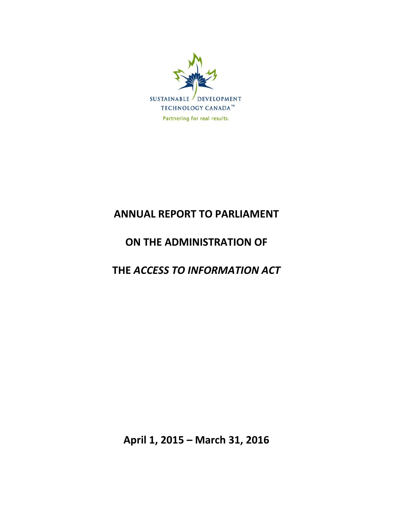

# **ANNUAL REPORT TO PARLIAMENT**

# **ON THE ADMINISTRATION OF**

# **THE** *ACCESS TO INFORMATION ACT*

**April 1, 2015 – March 31, 2016**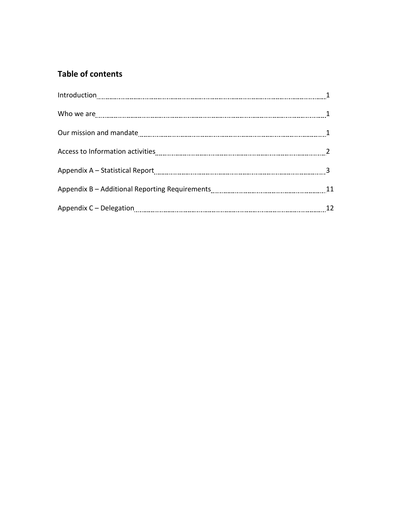# **Table of contents**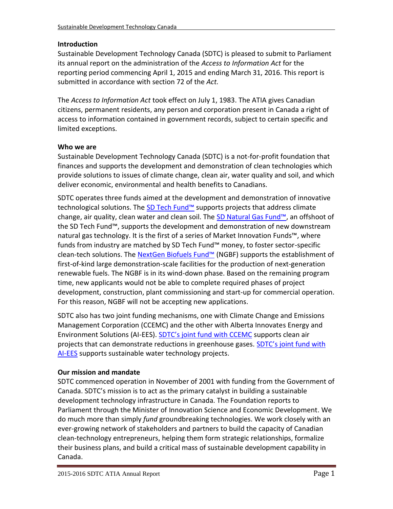# **Introduction**

Sustainable Development Technology Canada (SDTC) is pleased to submit to Parliament its annual report on the administration of the *Access to Information Act* for the reporting period commencing April 1, 2015 and ending March 31, 2016. This report is submitted in accordance with section 72 of the *Act.*

The *Access to Information Act* took effect on July 1, 1983. The ATIA gives Canadian citizens, permanent residents, any person and corporation present in Canada a right of access to information contained in government records, subject to certain specific and limited exceptions.

# **Who we are**

Sustainable Development Technology Canada (SDTC) is a not-for-profit foundation that finances and supports the development and demonstration of clean technologies which provide solutions to issues of climate change, clean air, water quality and soil, and which deliver economic, environmental and health benefits to Canadians.

SDTC operates three funds aimed at the development and demonstration of innovative technological solutions. The [SD Tech Fund™](https://www.sdtc.ca/en/apply/sd-tech-fund) supports projects that address climate change, air quality, clean water and clean soil. The [SD Natural Gas Fund™](https://www.sdtc.ca/en/apply/sd-natural-gas-fund), an offshoot of the SD Tech Fund™, supports the development and demonstration of new downstream natural gas technology. It is the first of a series of Market Innovation Funds™, where funds from industry are matched by SD Tech Fund™ money, to foster sector-specific clean-tech solutions. The [NextGen Biofuels Fund™](https://www.sdtc.ca/en/funding/funds/nextgen) (NGBF) supports the establishment of first-of-kind large demonstration-scale facilities for the production of next-generation renewable fuels. The NGBF is in its wind-down phase. Based on the remaining program time, new applicants would not be able to complete required phases of project development, construction, plant commissioning and start-up for commercial operation. For this reason, NGBF will not be accepting new applications.

SDTC also has two joint funding mechanisms, one with Climate Change and Emissions Management Corporation (CCEMC) and the other with Alberta Innovates Energy and Environment Solutions (AI-EES). [SDTC's joint fund with CCEMC](https://www.sdtc.ca/en/apply/sdtc-joint-fund-ccemc) supports clean air projects that can demonstrate reductions in greenhouse gases. [SDTC's joint fund with](https://www.sdtc.ca/en/apply/sdtc-joint-fund-ai-ees)  [AI-EES](https://www.sdtc.ca/en/apply/sdtc-joint-fund-ai-ees) supports sustainable water technology projects.

# **Our mission and mandate**

SDTC commenced operation in November of 2001 with funding from the Government of Canada. SDTC's mission is to act as the primary catalyst in building a sustainable development technology infrastructure in Canada. The Foundation reports to Parliament through the Minister of Innovation Science and Economic Development. We do much more than simply *fund* groundbreaking technologies. We work closely with an ever-growing network of stakeholders and partners to build the capacity of Canadian clean-technology entrepreneurs, helping them form strategic relationships, formalize their business plans, and build a critical mass of sustainable development capability in Canada.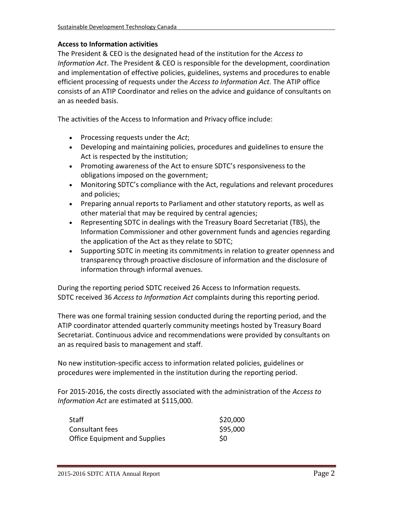#### **Access to Information activities**

The President & CEO is the designated head of the institution for the *Access to Information Act*. The President & CEO is responsible for the development, coordination and implementation of effective policies, guidelines, systems and procedures to enable efficient processing of requests under the *Access to Information Act.* The ATIP office consists of an ATIP Coordinator and relies on the advice and guidance of consultants on an as needed basis.

The activities of the Access to Information and Privacy office include:

- Processing requests under the *Act*;
- Developing and maintaining policies, procedures and guidelines to ensure the Act is respected by the institution;
- Promoting awareness of the Act to ensure SDTC's responsiveness to the obligations imposed on the government;
- Monitoring SDTC's compliance with the Act, regulations and relevant procedures and policies;
- Preparing annual reports to Parliament and other statutory reports, as well as other material that may be required by central agencies;
- Representing SDTC in dealings with the Treasury Board Secretariat (TBS), the Information Commissioner and other government funds and agencies regarding the application of the Act as they relate to SDTC;
- Supporting SDTC in meeting its commitments in relation to greater openness and transparency through proactive disclosure of information and the disclosure of information through informal avenues.

During the reporting period SDTC received 26 Access to Information requests. SDTC received 36 *Access to Information Act* complaints during this reporting period.

There was one formal training session conducted during the reporting period, and the ATIP coordinator attended quarterly community meetings hosted by Treasury Board Secretariat. Continuous advice and recommendations were provided by consultants on an as required basis to management and staff.

No new institution-specific access to information related policies, guidelines or procedures were implemented in the institution during the reporting period.

For 2015-2016, the costs directly associated with the administration of the *Access to Information Act* are estimated at \$115,000.

| <b>Staff</b>                         | \$20,000 |
|--------------------------------------|----------|
| Consultant fees                      | \$95,000 |
| <b>Office Equipment and Supplies</b> | S0       |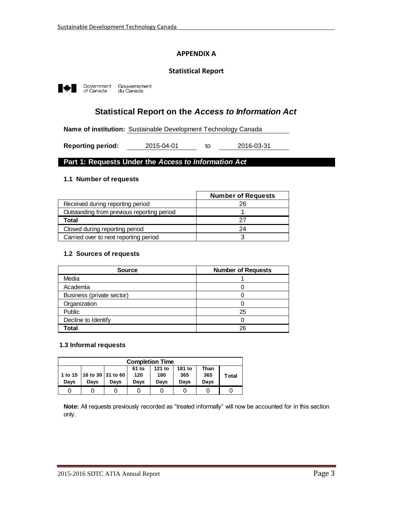#### **APPENDIX A**

#### **Statistical Report**



Government<br>of Canada Gouvernement<br>du Canada

# **Statistical Report on the** *Access to Information Act*

**Name of institution:** Sustainable Development Technology Canada

to **Reporting period:** 2015-04-01 to 2016-03-31

#### **Part 1: Requests Under the** *Access to Information Act*

#### **1.1 Number of requests**

|                                            | <b>Number of Requests</b> |
|--------------------------------------------|---------------------------|
| Received during reporting period           | 26                        |
| Outstanding from previous reporting period |                           |
| Total                                      |                           |
| Closed during reporting period             | 24                        |
| Carried over to next reporting period      |                           |

#### **1.2 Sources of requests**

| <b>Source</b>             | <b>Number of Requests</b> |
|---------------------------|---------------------------|
| Media                     |                           |
| Academia                  |                           |
| Business (private sector) |                           |
| Organization              |                           |
| Public                    | 25                        |
| Decline to Identify       |                           |
| Total                     | 26                        |

#### **1.3 Informal requests**

| <b>Completion Time</b>                                                                                                                                                 |  |  |  |  |  |  |  |  |
|------------------------------------------------------------------------------------------------------------------------------------------------------------------------|--|--|--|--|--|--|--|--|
| 121 to<br>181 to<br>61 to<br>Than<br>1 to 15   16 to 30   31 to 60<br>120<br>365<br>180<br>365<br><b>Total</b><br>Days<br>Davs<br>Davs<br>Davs<br>Davs<br>Davs<br>Davs |  |  |  |  |  |  |  |  |
|                                                                                                                                                                        |  |  |  |  |  |  |  |  |

**Note:** All requests previously recorded as "treated informally" will now be accounted for in this section only.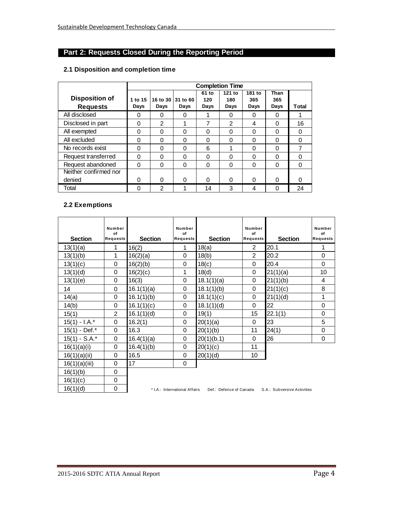# **Part 2: Requests Closed During the Reporting Period**

#### **2.1 Disposition and completion time**

|                                          | <b>Completion Time</b> |                  |                  |                      |                       |                       |                     |       |
|------------------------------------------|------------------------|------------------|------------------|----------------------|-----------------------|-----------------------|---------------------|-------|
| <b>Disposition of</b><br><b>Requests</b> | 1 to 15<br>Days        | 16 to 30<br>Days | 31 to 60<br>Days | 61 to<br>120<br>Days | 121 to<br>180<br>Days | 181 to<br>365<br>Days | Than<br>365<br>Days | Total |
| All disclosed                            | 0                      | 0                | 0                | 1                    | 0                     | 0                     | 0                   |       |
| Disclosed in part                        | 0                      | 2                |                  | 7                    | $\mathfrak{p}$        | 4                     | $\Omega$            | 16    |
| All exempted                             | 0                      | 0                | 0                | $\Omega$             | $\Omega$              | $\Omega$              | $\Omega$            | 0     |
| All excluded                             | 0                      | $\Omega$         | 0                | 0                    | $\Omega$              | $\Omega$              | $\Omega$            | 0     |
| No records exist                         | 0                      | 0                | 0                | 6                    | 4                     | $\Omega$              | $\Omega$            | 7     |
| Request transferred                      | 0                      | 0                | 0                | 0                    | 0                     | 0                     | 0                   | 0     |
| Request abandoned                        | 0                      | 0                | 0                | 0                    | $\Omega$              | 0                     | 0                   | 0     |
| Neither confirmed nor                    |                        |                  |                  |                      |                       |                       |                     |       |
| denied                                   | O                      | 0                | 0                | 0                    | $\Omega$              | $\Omega$              | 0                   | ი     |
| Total                                    | 0                      | 2                |                  | 14                   | 3                     | 4                     | $\Omega$            | 24    |

#### **2.2 Exemptions**

| <b>Section</b>   | Number<br>of<br><b>Requests</b> | <b>Section</b> | Number<br>of<br><b>Requests</b> | <b>Section</b>          | Number<br>of<br><b>Requests</b> | <b>Section</b>              | Number<br>of<br><b>Requests</b> |
|------------------|---------------------------------|----------------|---------------------------------|-------------------------|---------------------------------|-----------------------------|---------------------------------|
| 13(1)(a)         | 1                               | 16(2)          | 1                               | 18(a)                   | $\overline{2}$                  | 20.1                        | 1                               |
| 13(1)(b)         | 1                               | 16(2)(a)       | 0                               | 18(b)                   | $\overline{2}$                  | 20.2                        | 0                               |
| 13(1)(c)         | 0                               | 16(2)(b)       | $\Omega$                        | 18(c)                   | $\Omega$                        | 20.4                        | 0                               |
| 13(1)(d)         | 0                               | 16(2)(c)       | 1                               | 18(d)                   | $\Omega$                        | 21(1)(a)                    | 10                              |
| 13(1)(e)         | 0                               | 16(3)          | $\Omega$                        | 18.1(1)(a)              | $\Omega$                        | 21(1)(b)                    | 4                               |
| 14               | 0                               | 16.1(1)(a)     | 0                               | 18.1(1)(b)              | $\Omega$                        | 21(1)(c)                    | 8                               |
| 14(a)            | 0                               | 16.1(1)(b)     | 0                               | 18.1(1)(c)              | 0                               | 21(1)(d)                    | 1                               |
| 14(b)            | 0                               | 16.1(1)(c)     | $\Omega$                        | 18.1(1)(d)              | $\Omega$                        | 22                          | 0                               |
| 15(1)            | $\overline{2}$                  | 16.1(1)(d)     | 0                               | 19(1)                   | 15                              | 22.1(1)                     | 0                               |
| $15(1) - 1.A.*$  | $\mathbf 0$                     | 16.2(1)        | 0                               | 20(1)(a)                | $\Omega$                        | 23                          | 5                               |
| 15(1) - Def.*    | $\Omega$                        | 16.3           | 0                               | 20(1)(b)                | 11                              | 24(1)                       | 0                               |
| $15(1) - S.A.^*$ | $\mathbf 0$                     | 16.4(1)(a)     | $\Omega$                        | 20(1)(b.1)              | $\Omega$                        | 26                          | $\Omega$                        |
| 16(1)(a)(i)      | $\Omega$                        | 16.4(1)(b)     | 0                               | 20(1)(c)                | 11                              |                             |                                 |
| 16(1)(a)(ii)     | 0                               | 16.5           | 0                               | 20(1)(d)                | 10                              |                             |                                 |
| 16(1)(a)(iii)    | 0                               | 17             | 0                               |                         |                                 |                             |                                 |
| 16(1)(b)         | 0                               |                |                                 |                         |                                 |                             |                                 |
| 16(1)(c)         | 0                               |                |                                 |                         |                                 |                             |                                 |
| 16(1)(d)         | 0                               |                | * I.A.: International Affairs   | Def.: Defence of Canada |                                 | S.A.: Subversive Activities |                                 |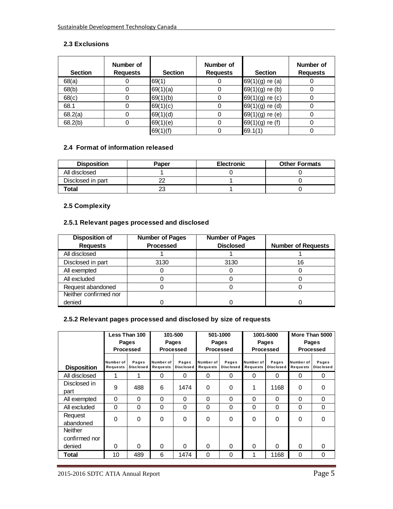## **2.3 Exclusions**

| <b>Section</b> | Number of<br><b>Requests</b> | <b>Section</b> | Number of<br><b>Requests</b> | <b>Section</b>    | Number of<br><b>Requests</b> |
|----------------|------------------------------|----------------|------------------------------|-------------------|------------------------------|
| 68(a)          |                              | 69(1)          |                              | $69(1)(g)$ re (a) |                              |
| 68(b)          |                              | 69(1)(a)       |                              | $69(1)(g)$ re (b) |                              |
| 68(c)          |                              | 69(1)(b)       |                              | 69(1)(g) re (c)   |                              |
| 68.1           |                              | 69(1)(c)       |                              | 69(1)(g) re (d)   |                              |
| 68.2(a)        |                              | 69(1)(d)       |                              | $69(1)(g)$ re (e) |                              |
| 68.2(b)        |                              | 69(1)(e)       |                              | $69(1)(g)$ re (f) |                              |
|                |                              | 69(1)(f)       |                              | 69.1(1)           |                              |

#### **2.4 Format of information released**

| <b>Disposition</b> | Paper | <b>Electronic</b> | <b>Other Formats</b> |
|--------------------|-------|-------------------|----------------------|
| All disclosed      |       |                   |                      |
| Disclosed in part  | ∩∩    |                   |                      |
| Total              | 23    |                   |                      |

#### **2.5 Complexity**

## **2.5.1 Relevant pages processed and disclosed**

| <b>Disposition of</b> | <b>Number of Pages</b> | <b>Number of Pages</b> |                           |
|-----------------------|------------------------|------------------------|---------------------------|
| <b>Requests</b>       | <b>Processed</b>       | <b>Disclosed</b>       | <b>Number of Requests</b> |
| All disclosed         |                        |                        |                           |
| Disclosed in part     | 3130                   | 3130                   | 16                        |
| All exempted          |                        |                        |                           |
| All excluded          |                        |                        |                           |
| Request abandoned     |                        |                        |                           |
| Neither confirmed nor |                        |                        |                           |
| denied                |                        |                        |                           |

## **2.5.2 Relevant pages processed and disclosed by size of requests**

|                    | Less Than 100                |                           | 101-500               |                           | 501-1000              |                           | 1001-5000             |                           | More Than 5000        |                           |  |
|--------------------|------------------------------|---------------------------|-----------------------|---------------------------|-----------------------|---------------------------|-----------------------|---------------------------|-----------------------|---------------------------|--|
|                    |                              | Pages                     |                       | Pages                     |                       | Pages                     |                       | Pages                     |                       | <b>Pages</b>              |  |
|                    |                              | <b>Processed</b>          |                       | <b>Processed</b>          |                       | Processed                 |                       | <b>Processed</b>          |                       | Processed                 |  |
| <b>Disposition</b> | Number of<br><b>Requests</b> | Pages<br><b>Disclosed</b> | Number of<br>Requests | Pages<br><b>Disclosed</b> | Number of<br>Requests | Pages<br><b>Disclosed</b> | Number of<br>Requests | Pages<br><b>Disclosed</b> | Number of<br>Requests | Pages<br><b>Disclosed</b> |  |
| All disclosed      | 1                            | 1                         | 0                     | 0                         | 0                     | 0                         | $\Omega$              | 0                         | 0                     | 0                         |  |
| Disclosed in       | 9                            | 488                       | 6                     | 1474                      | $\Omega$              | 0                         | 1                     | 1168                      | $\Omega$              | $\Omega$                  |  |
| part               |                              |                           |                       |                           |                       |                           |                       |                           |                       |                           |  |
| All exempted       | $\mathbf{0}$                 | $\Omega$                  | 0                     | 0                         | $\Omega$              | 0                         | $\Omega$              | 0                         | $\Omega$              | 0                         |  |
| All excluded       | $\Omega$                     | $\Omega$                  | 0                     | 0                         | $\Omega$              | $\Omega$                  | $\Omega$              | 0                         | $\Omega$              | $\Omega$                  |  |
| Request            | $\Omega$                     | $\Omega$                  | 0                     | 0                         | 0                     | 0                         | $\Omega$              | $\Omega$                  | $\Omega$              | $\Omega$                  |  |
| abandoned          |                              |                           |                       |                           |                       |                           |                       |                           |                       |                           |  |
| <b>Neither</b>     |                              |                           |                       |                           |                       |                           |                       |                           |                       |                           |  |
| confirmed nor      |                              |                           |                       |                           |                       |                           |                       |                           |                       |                           |  |
| denied             | $\Omega$                     | $\Omega$                  | 0                     | 0                         | $\Omega$              | $\Omega$                  | $\Omega$              | U                         | $\Omega$              | $\Omega$                  |  |
| Total              | 10                           | 489                       | 6                     | 1474                      | 0                     | 0                         | 1                     | 1168                      | 0                     | 0                         |  |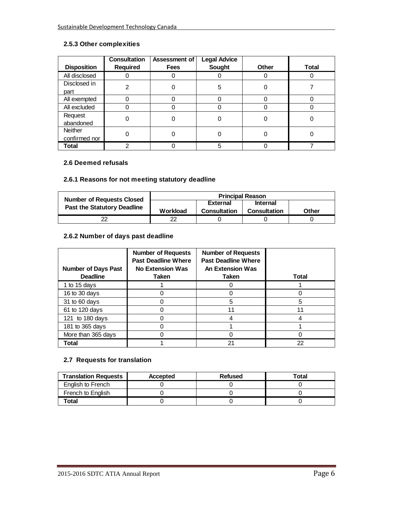## **2.5.3 Other complexities**

|                    | <b>Consultation</b> | Assessment of | <b>Legal Advice</b> |              |              |
|--------------------|---------------------|---------------|---------------------|--------------|--------------|
| <b>Disposition</b> | Required            | <b>Fees</b>   | <b>Sought</b>       | <b>Other</b> | <b>Total</b> |
| All disclosed      |                     |               |                     |              |              |
| Disclosed in       | 2                   | 0             | 5                   |              |              |
| part               |                     |               |                     |              |              |
| All exempted       | 0                   |               |                     |              |              |
| All excluded       | 0                   |               |                     |              |              |
| Request            | 0                   |               |                     |              |              |
| abandoned          |                     |               |                     |              |              |
| <b>Neither</b>     |                     |               |                     |              |              |
| confirmed nor      |                     |               |                     |              |              |
| Total              | ⌒                   |               | 5                   |              |              |

#### **2.6 Deemed refusals**

# **2.6.1 Reasons for not meeting statutory deadline**

| <b>Number of Requests Closed</b>   |          | <b>Principal Reason</b>            |                     |       |  |
|------------------------------------|----------|------------------------------------|---------------------|-------|--|
| <b>Past the Statutory Deadline</b> |          | <b>Internal</b><br><b>External</b> |                     |       |  |
|                                    | Workload | <b>Consultation</b>                | <b>Consultation</b> | Other |  |
| 22                                 |          |                                    |                     |       |  |

#### **2.6.2 Number of days past deadline**

| <b>Number of Days Past</b><br><b>Deadline</b> | <b>Number of Requests</b><br><b>Past Deadline Where</b><br><b>No Extension Was</b><br>Taken | <b>Number of Requests</b><br><b>Past Deadline Where</b><br><b>An Extension Was</b><br>Taken | Total |
|-----------------------------------------------|---------------------------------------------------------------------------------------------|---------------------------------------------------------------------------------------------|-------|
| 1 to 15 days                                  |                                                                                             |                                                                                             |       |
| 16 to 30 days                                 |                                                                                             |                                                                                             |       |
| 31 to 60 days                                 |                                                                                             | 5                                                                                           | 5     |
| 61 to 120 days                                |                                                                                             | 11                                                                                          | 11    |
| 121 to 180 days                               |                                                                                             |                                                                                             |       |
| 181 to 365 days                               |                                                                                             |                                                                                             |       |
| More than 365 days                            |                                                                                             |                                                                                             |       |
| Total                                         |                                                                                             | 21                                                                                          | 22    |

#### **2.7 Requests for translation**

| <b>Translation Requests</b> | Accepted | Refused | Total |
|-----------------------------|----------|---------|-------|
| English to French           |          |         |       |
| French to English           |          |         |       |
| Total                       |          |         |       |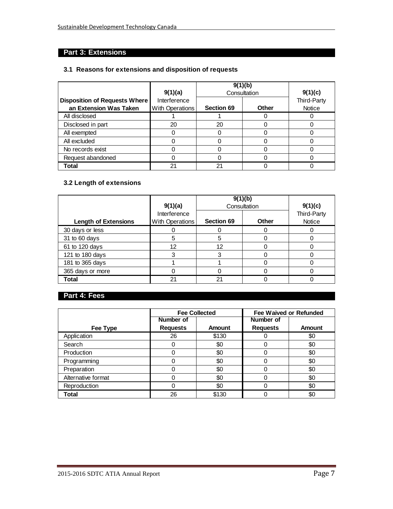# **Part 3: Extensions**

#### **3.1 Reasons for extensions and disposition of requests**

|                                      | 9(1)(a)         | 9(1)(b)           | Consultation | 9(1)(c)     |  |
|--------------------------------------|-----------------|-------------------|--------------|-------------|--|
| <b>Disposition of Requests Where</b> | Interference    |                   |              | Third-Party |  |
| an Extension Was Taken               | With Operations | <b>Section 69</b> | Other        | Notice      |  |
| All disclosed                        |                 |                   |              |             |  |
| Disclosed in part                    | 20              | 20                |              |             |  |
| All exempted                         |                 |                   |              |             |  |
| All excluded                         |                 |                   |              |             |  |
| No records exist                     |                 |                   |              |             |  |
| Request abandoned                    |                 |                   |              |             |  |
| Total                                | 21              | 21                |              |             |  |

# **3.2 Length of extensions**

|                             | 9(1)(a)                         | 9(1)(b)<br>Consultation | 9(1)(c)      |                       |
|-----------------------------|---------------------------------|-------------------------|--------------|-----------------------|
| <b>Length of Extensions</b> | Interference<br>With Operations | <b>Section 69</b>       | <b>Other</b> | Third-Party<br>Notice |
| 30 days or less             |                                 |                         |              |                       |
| 31 to 60 days               | 5                               | 5                       |              |                       |
| 61 to 120 days              | 12                              | 12                      |              |                       |
| 121 to 180 days             |                                 | 3                       |              |                       |
| 181 to 365 days             |                                 |                         |              |                       |
| 365 days or more            |                                 |                         |              |                       |
| Total                       | 21                              | 21                      |              |                       |

# **Part 4: Fees**

|                    |                 | <b>Fee Collected</b> |                 | <b>Fee Waived or Refunded</b> |
|--------------------|-----------------|----------------------|-----------------|-------------------------------|
|                    | Number of       |                      | Number of       |                               |
| Fee Type           | <b>Requests</b> | <b>Amount</b>        | <b>Requests</b> | <b>Amount</b>                 |
| Application        | 26              | \$130                |                 | \$0                           |
| Search             |                 | \$0                  |                 | \$0                           |
| Production         |                 | \$0                  |                 | \$0                           |
| Programming        |                 | \$0                  | ი               | \$0                           |
| Preparation        |                 | \$0                  |                 | \$0                           |
| Alternative format |                 | \$0                  | 0               | \$0                           |
| Reproduction       |                 | \$0                  | 0               | \$0                           |
| <b>Total</b>       | 26              | \$130                |                 | \$0                           |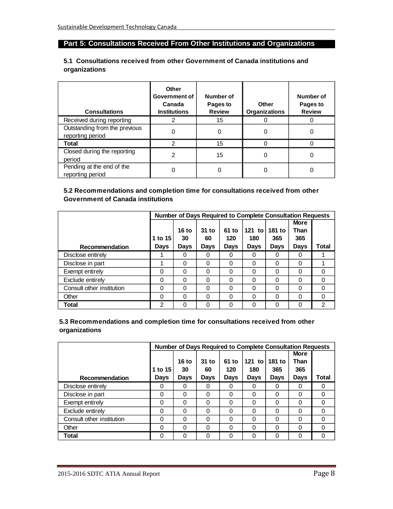# **Part 5: Consultations Received From Other Institutions and Organizations**

#### **5.1 Consultations received from other Government of Canada institutions and organizations**

| <b>Consultations</b>                              | Other<br>Government of<br>Canada<br><b>Institutions</b> | Number of<br>Pages to<br><b>Review</b> | Other<br><b>Organizations</b> | Number of<br>Pages to<br><b>Review</b> |
|---------------------------------------------------|---------------------------------------------------------|----------------------------------------|-------------------------------|----------------------------------------|
| Received during reporting                         | 2                                                       | 15                                     |                               |                                        |
| Outstanding from the previous<br>reporting period | 0                                                       | 0                                      | 0                             | 0                                      |
| Total                                             | 2                                                       | 15                                     | ი                             |                                        |
| Closed during the reporting<br>period             | 2                                                       | 15                                     | 0                             | 0                                      |
| Pending at the end of the<br>reporting period     |                                                         |                                        | 0                             |                                        |

#### **5.2 Recommendations and completion time for consultations received from other Government of Canada institutions**

|                           |             |             |             |             | <b>Number of Days Required to Complete Consultation Requests</b> |             |             |               |
|---------------------------|-------------|-------------|-------------|-------------|------------------------------------------------------------------|-------------|-------------|---------------|
|                           |             |             |             |             |                                                                  |             | <b>More</b> |               |
|                           |             | 16 to       | $31$ to     | 61 to       | $121$ to                                                         | 181 to      | Than        |               |
|                           | 1 to 15     | 30          | 60          | 120         | 180                                                              | 365         | 365         |               |
| Recommendation            | <b>Days</b> | <b>Days</b> | <b>Days</b> | <b>Days</b> | <b>Days</b>                                                      | <b>Days</b> | <b>Days</b> | Total         |
| Disclose entirely         |             | 0           | 0           | 0           |                                                                  |             | 0           |               |
| Disclose in part          |             | 0           | 0           | $\Omega$    | $\Omega$                                                         | $\Omega$    | 0           |               |
| Exempt entirely           | $\Omega$    | 0           | $\Omega$    | $\Omega$    | $\Omega$                                                         | 0           | 0           | 0             |
| Exclude entirely          | 0           | 0           | 0           | 0           | ∩                                                                | 0           | 0           | 0             |
| Consult other institution | 0           | 0           | 0           | $\Omega$    | 0                                                                | 0           | 0           | 0             |
| Other                     | $\Omega$    | 0           | 0           | 0           | ∩                                                                | 0           | 0           | 0             |
| Total                     | 2           | 0           | $\Omega$    | 0           | ∩                                                                | 0           | 0           | $\mathcal{P}$ |

#### **5.3 Recommendations and completion time for consultations received from other organizations**

|                           |             |             |             |          | <b>Number of Days Required to Complete Consultation Requests</b> |             |             |       |
|---------------------------|-------------|-------------|-------------|----------|------------------------------------------------------------------|-------------|-------------|-------|
|                           |             |             |             |          |                                                                  |             | <b>More</b> |       |
|                           |             | 16 to       | $31$ to     | 61 to    | $121$ to                                                         | 181 to      | Than        |       |
|                           | 1 to 15     | 30          | 60          | 120      | 180                                                              | 365         | 365         |       |
| Recommendation            | <b>Days</b> | <b>Days</b> | <b>Days</b> | Days     | Days                                                             | <b>Days</b> | <b>Days</b> | Total |
| Disclose entirely         | 0           | 0           | 0           | 0        |                                                                  | O           | 0           | 0     |
| Disclose in part          | $\Omega$    | 0           | $\Omega$    | $\Omega$ | 0                                                                | 0           | 0           | 0     |
| Exempt entirely           | $\Omega$    | 0           | $\Omega$    | $\Omega$ | 0                                                                | 0           | 0           | 0     |
| Exclude entirely          | 0           | 0           | $\Omega$    | $\Omega$ | ∩                                                                | 0           | 0           | 0     |
| Consult other institution | $\Omega$    | 0           | 0           | 0        | 0                                                                | 0           | 0           | 0     |
| Other                     | 0           | 0           | $\Omega$    | $\Omega$ |                                                                  | 0           | 0           | 0     |
| Total                     | $\Omega$    | 0           | $\Omega$    | 0        |                                                                  | ი           | 0           | 0     |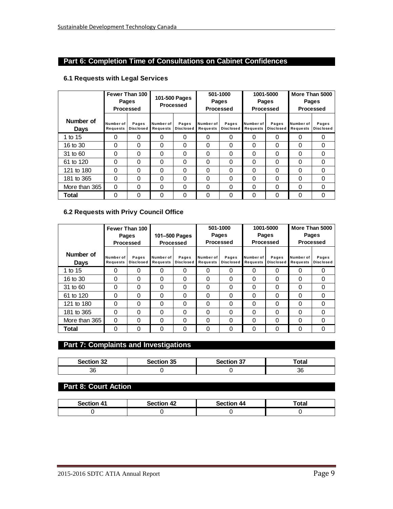# **Part 6: Completion Time of Consultations on Cabinet Confidences**

## **6.1 Requests with Legal Services**

|                          |                              | Fewer Than 100<br>Pages<br><b>Processed</b> | 101-500 Pages<br>Processed |                           | 501-1000<br>Pages<br>Processed |                           | 1001-5000<br>Pages<br><b>Processed</b> |                           | More Than 5000<br>Pages<br><b>Processed</b> |                           |
|--------------------------|------------------------------|---------------------------------------------|----------------------------|---------------------------|--------------------------------|---------------------------|----------------------------------------|---------------------------|---------------------------------------------|---------------------------|
| Number of<br><b>Davs</b> | Number of<br><b>Requests</b> | Pages<br><b>Disclosed</b>                   | Number of<br>Requests      | Pages<br><b>Disclosed</b> | Number of<br>Requests          | Pages<br><b>Disclosed</b> | Number of<br><b>Requests</b>           | Pages<br><b>Disclosed</b> | Number of<br>Requests                       | Pages<br><b>Disclosed</b> |
| 1 to 15                  | 0                            | $\Omega$                                    | 0                          | 0                         | 0                              | $\Omega$                  | 0                                      | 0                         | 0                                           | $\Omega$                  |
| 16 to 30                 | 0                            | $\Omega$                                    | 0                          | 0                         | 0                              | 0                         | $\Omega$                               | 0                         | 0                                           | 0                         |
| 31 to 60                 | 0                            | $\Omega$                                    | 0                          | 0                         | 0                              | 0                         | $\Omega$                               | $\Omega$                  | 0                                           | 0                         |
| 61 to 120                | 0                            | $\Omega$                                    | 0                          | 0                         | 0                              | $\Omega$                  | 0                                      | 0                         | $\Omega$                                    | 0                         |
| 121 to 180               | $\Omega$                     | $\Omega$                                    | 0                          | 0                         | $\Omega$                       | $\Omega$                  | $\Omega$                               | $\Omega$                  | $\Omega$                                    | $\Omega$                  |
| 181 to 365               | $\Omega$                     | $\Omega$                                    | $\Omega$                   | $\Omega$                  | 0                              | $\Omega$                  | $\Omega$                               | $\Omega$                  | $\Omega$                                    | $\Omega$                  |
| More than 365            | 0                            | $\Omega$                                    | 0                          | 0                         | 0                              | $\Omega$                  | 0                                      | $\Omega$                  | 0                                           | $\Omega$                  |
| Total                    | 0                            | $\Omega$                                    | 0                          | 0                         | 0                              | 0                         | 0                                      | 0                         | 0                                           | 0                         |

#### **6.2 Requests with Privy Council Office**

|                   |                       | Fewer Than 100<br><b>Pages</b><br><b>Processed</b> | 101-500 Pages<br>Processed |                           |                       | 501-1000<br>Pages<br>Processed |                              | 1001-5000<br>Pages<br>Processed |                       | More Than 5000<br>Pages<br><b>Processed</b> |  |
|-------------------|-----------------------|----------------------------------------------------|----------------------------|---------------------------|-----------------------|--------------------------------|------------------------------|---------------------------------|-----------------------|---------------------------------------------|--|
| Number of<br>Days | Number of<br>Requests | Pages<br><b>Disclosed</b>                          | Number of<br>Requests      | Pages<br><b>Disclosed</b> | Number of<br>Requests | Pages<br><b>Disclosed</b>      | Number of<br><b>Requests</b> | Pages<br><b>Disclosed</b>       | Number of<br>Requests | Pages<br><b>Disclosed</b>                   |  |
| 1 to 15           | 0                     | 0                                                  | 0                          | 0                         | $\Omega$              | 0                              | 0                            | 0                               | 0                     | 0                                           |  |
| 16 to 30          | 0                     | $\Omega$                                           | 0                          | 0                         | 0                     | $\Omega$                       | $\Omega$                     | 0                               | $\Omega$              | $\Omega$                                    |  |
| 31 to 60          | $\Omega$              | $\Omega$                                           | 0                          | 0                         | 0                     | $\Omega$                       | $\Omega$                     | 0                               | $\Omega$              | 0                                           |  |
| 61 to 120         | $\Omega$              | $\Omega$                                           | 0                          | 0                         | $\Omega$              | 0                              | $\Omega$                     | 0                               | $\Omega$              | 0                                           |  |
| 121 to 180        | $\Omega$              | $\Omega$                                           | 0                          | $\Omega$                  | $\Omega$              | $\Omega$                       | $\Omega$                     | 0                               | $\Omega$              | $\Omega$                                    |  |
| 181 to 365        | $\Omega$              | $\Omega$                                           | 0                          | 0                         | $\Omega$              | $\Omega$                       | $\Omega$                     | 0                               | $\Omega$              | $\Omega$                                    |  |
| More than 365     | 0                     | $\Omega$                                           | 0                          | 0                         | $\Omega$              | $\Omega$                       | $\Omega$                     | 0                               | $\Omega$              | $\Omega$                                    |  |
| Total             | 0                     | 0                                                  | 0                          | 0                         | 0                     | 0                              | $\Omega$                     | 0                               | $\Omega$              | 0                                           |  |

# **Part 7: Complaints and Investigations**

| <b>Section 32</b> | Section 35 | <b>Section 37</b> | 'otal    |
|-------------------|------------|-------------------|----------|
| 36                |            |                   | or<br>၁ဝ |

# **Part 8: Court Action**

| <b>Section 41</b> | <b>Section 42</b> | <b>Section 44</b> | ™otaı |
|-------------------|-------------------|-------------------|-------|
|                   |                   |                   |       |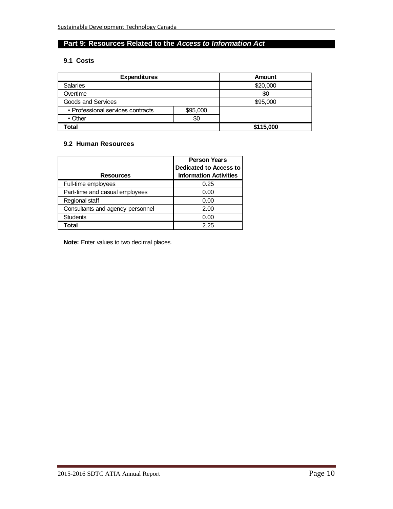# **Part 9: Resources Related to the** *Access to Information Act*

#### **9.1 Costs**

| <b>Expenditures</b>                           |  | Amount    |  |
|-----------------------------------------------|--|-----------|--|
| <b>Salaries</b>                               |  | \$20,000  |  |
| Overtime                                      |  | \$0       |  |
| Goods and Services                            |  | \$95,000  |  |
| • Professional services contracts<br>\$95,000 |  |           |  |
| \$0<br>$\cdot$ Other                          |  |           |  |
| Total                                         |  | \$115,000 |  |

#### **9.2 Human Resources**

|                                  | <b>Person Years</b><br><b>Dedicated to Access to</b> |  |
|----------------------------------|------------------------------------------------------|--|
| <b>Resources</b>                 | <b>Information Activities</b>                        |  |
| Full-time employees              | 0.25                                                 |  |
| Part-time and casual employees   | 0.00                                                 |  |
| Regional staff                   | 0.00                                                 |  |
| Consultants and agency personnel | 2.00                                                 |  |
| <b>Students</b>                  | 0.00                                                 |  |
| Total                            | 2.25                                                 |  |

**Note:** Enter values to two decimal places.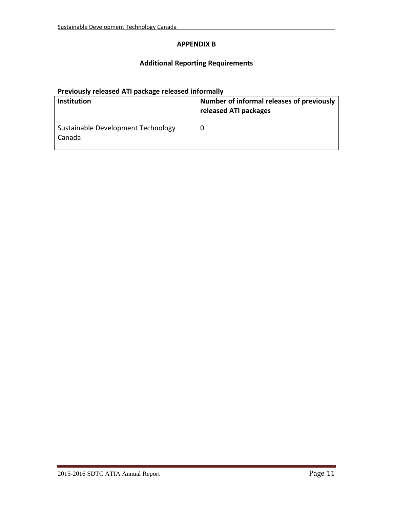### **APPENDIX B**

## **Additional Reporting Requirements**

# **Previously released ATI package released informally**

| <b>Institution</b>                           | Number of informal releases of previously<br>released ATI packages |
|----------------------------------------------|--------------------------------------------------------------------|
| Sustainable Development Technology<br>Canada |                                                                    |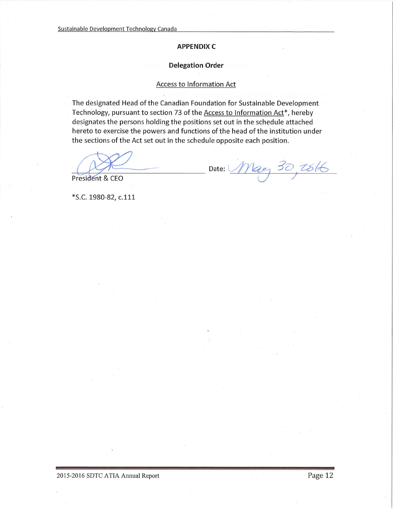#### **APPENDIX C**

#### **Delegation Order**

#### **Access to Information Act**

The designated Head of the Canadian Foundation for Sustainable Development Technology, pursuant to section 73 of the Access to Information Act\*, hereby designates the persons holding the positions set out in the schedule attached hereto to exercise the powers and functions of the head of the institution under the sections of the Act set out in the schedule opposite each position.

Date: May 30, 2816

President & CEO

\*S.C. 1980-82, c.111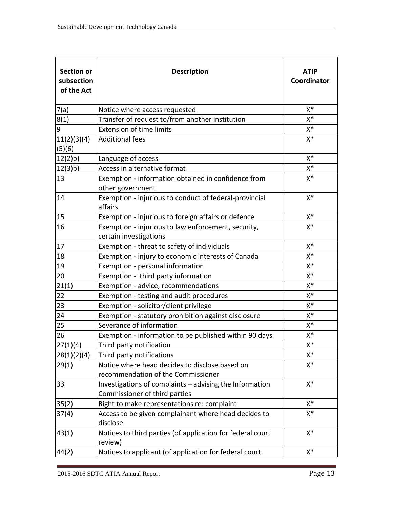| <b>Section or</b><br>subsection<br>of the Act | <b>Description</b>                                                                       | <b>ATIP</b><br>Coordinator |
|-----------------------------------------------|------------------------------------------------------------------------------------------|----------------------------|
| 7(a)                                          | Notice where access requested                                                            | $X^*$                      |
| 8(1)                                          | Transfer of request to/from another institution                                          | $X^*$                      |
| 9                                             | <b>Extension of time limits</b>                                                          | $X^*$                      |
| 11(2)(3)(4)<br>(5)(6)                         | <b>Additional fees</b>                                                                   | $X^*$                      |
| 12(2)b                                        | Language of access                                                                       | $X^*$                      |
| 12(3)b)                                       | Access in alternative format                                                             | $X^*$                      |
| 13                                            | Exemption - information obtained in confidence from<br>other government                  | $X^*$                      |
| 14                                            | Exemption - injurious to conduct of federal-provincial<br>affairs                        | $X^*$                      |
| 15                                            | Exemption - injurious to foreign affairs or defence                                      | $X^*$                      |
| 16                                            | Exemption - injurious to law enforcement, security,<br>certain investigations            | $X^*$                      |
| 17                                            | Exemption - threat to safety of individuals                                              | $X^*$                      |
| 18                                            | Exemption - injury to economic interests of Canada                                       | $X^*$                      |
| 19                                            | Exemption - personal information                                                         | $X^*$                      |
| 20                                            | Exemption - third party information                                                      | $X^*$                      |
| 21(1)                                         | Exemption - advice, recommendations                                                      | $X^*$                      |
| 22                                            | Exemption - testing and audit procedures                                                 | $X^*$                      |
| 23                                            | Exemption - solicitor/client privilege                                                   | X*                         |
| 24                                            | Exemption - statutory prohibition against disclosure                                     | $X^*$                      |
| 25                                            | Severance of information                                                                 | $X^*$                      |
| 26                                            | Exemption - information to be published within 90 days                                   | $X^*$                      |
| 27(1)(4)                                      | Third party notification                                                                 | X*                         |
| 28(1)(2)(4)                                   | Third party notifications                                                                | X*                         |
| 29(1)                                         | Notice where head decides to disclose based on<br>recommendation of the Commissioner     | $X^*$                      |
| 33                                            | Investigations of complaints - advising the Information<br>Commissioner of third parties | $X^*$                      |
| 35(2)                                         | Right to make representations re: complaint                                              | $X^*$                      |
| 37(4)                                         | Access to be given complainant where head decides to<br>disclose                         | $X^*$                      |
| 43(1)                                         | Notices to third parties (of application for federal court<br>review)                    | $X^*$                      |
| 44(2)                                         | Notices to applicant (of application for federal court                                   | $X^*$                      |